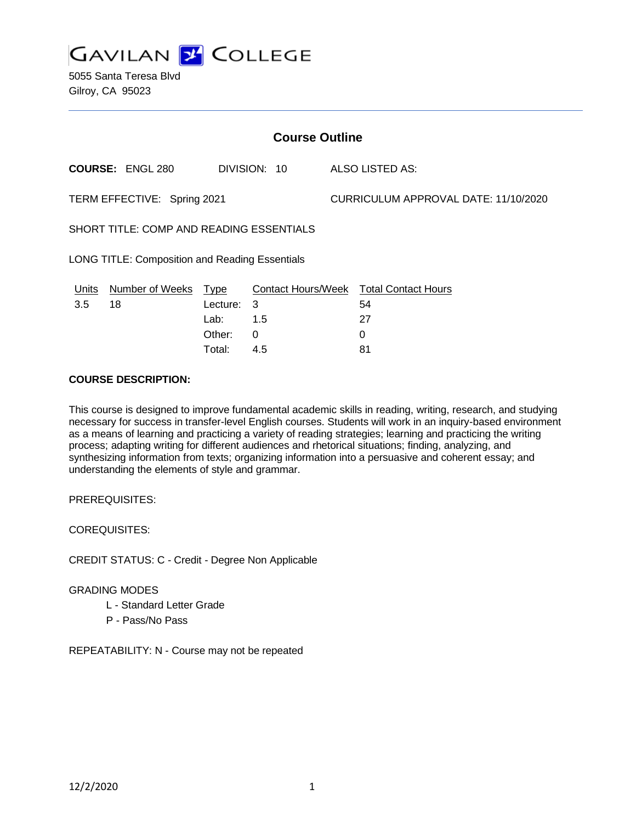**GAVILAN J COLLEGE** 

5055 Santa Teresa Blvd Gilroy, CA 95023

| <b>Course Outline</b>                                 |                         |             |                           |  |                                      |  |
|-------------------------------------------------------|-------------------------|-------------|---------------------------|--|--------------------------------------|--|
|                                                       | <b>COURSE: ENGL 280</b> |             | DIVISION: 10              |  | ALSO LISTED AS:                      |  |
| TERM EFFECTIVE: Spring 2021                           |                         |             |                           |  | CURRICULUM APPROVAL DATE: 11/10/2020 |  |
| SHORT TITLE: COMP AND READING ESSENTIALS              |                         |             |                           |  |                                      |  |
| <b>LONG TITLE: Composition and Reading Essentials</b> |                         |             |                           |  |                                      |  |
| <b>Units</b>                                          | <b>Number of Weeks</b>  | <u>Type</u> | <b>Contact Hours/Week</b> |  | <b>Total Contact Hours</b>           |  |
| 3.5                                                   | 18                      | Lecture: 3  |                           |  | 54                                   |  |
|                                                       |                         | Lab:        | 1.5                       |  | 27                                   |  |
|                                                       |                         | Other:      | 0                         |  | 0                                    |  |

Total: 4.5 81

## **COURSE DESCRIPTION:**

This course is designed to improve fundamental academic skills in reading, writing, research, and studying necessary for success in transfer-level English courses. Students will work in an inquiry-based environment as a means of learning and practicing a variety of reading strategies; learning and practicing the writing process; adapting writing for different audiences and rhetorical situations; finding, analyzing, and synthesizing information from texts; organizing information into a persuasive and coherent essay; and understanding the elements of style and grammar.

PREREQUISITES:

COREQUISITES:

CREDIT STATUS: C - Credit - Degree Non Applicable

#### GRADING MODES

- L Standard Letter Grade
- P Pass/No Pass

REPEATABILITY: N - Course may not be repeated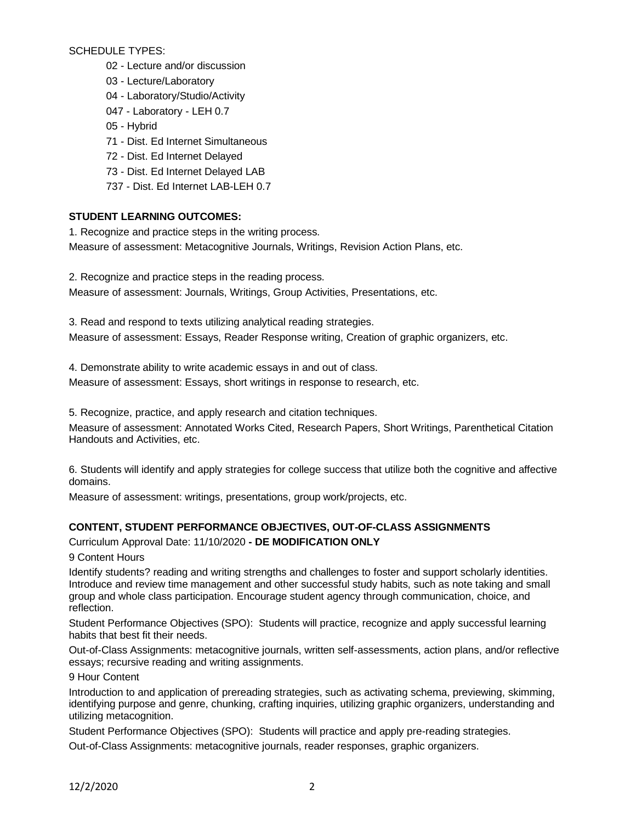SCHEDULE TYPES:

02 - Lecture and/or discussion

03 - Lecture/Laboratory

04 - Laboratory/Studio/Activity

047 - Laboratory - LEH 0.7

- 05 Hybrid
- 71 Dist. Ed Internet Simultaneous
- 72 Dist. Ed Internet Delayed
- 73 Dist. Ed Internet Delayed LAB
- 737 Dist. Ed Internet LAB-LEH 0.7

# **STUDENT LEARNING OUTCOMES:**

1. Recognize and practice steps in the writing process.

Measure of assessment: Metacognitive Journals, Writings, Revision Action Plans, etc.

2. Recognize and practice steps in the reading process.

Measure of assessment: Journals, Writings, Group Activities, Presentations, etc.

3. Read and respond to texts utilizing analytical reading strategies.

Measure of assessment: Essays, Reader Response writing, Creation of graphic organizers, etc.

4. Demonstrate ability to write academic essays in and out of class.

Measure of assessment: Essays, short writings in response to research, etc.

5. Recognize, practice, and apply research and citation techniques.

Measure of assessment: Annotated Works Cited, Research Papers, Short Writings, Parenthetical Citation Handouts and Activities, etc.

6. Students will identify and apply strategies for college success that utilize both the cognitive and affective domains.

Measure of assessment: writings, presentations, group work/projects, etc.

# **CONTENT, STUDENT PERFORMANCE OBJECTIVES, OUT-OF-CLASS ASSIGNMENTS**

Curriculum Approval Date: 11/10/2020 **- DE MODIFICATION ONLY**

9 Content Hours

Identify students? reading and writing strengths and challenges to foster and support scholarly identities. Introduce and review time management and other successful study habits, such as note taking and small group and whole class participation. Encourage student agency through communication, choice, and reflection.

Student Performance Objectives (SPO): Students will practice, recognize and apply successful learning habits that best fit their needs.

Out-of-Class Assignments: metacognitive journals, written self-assessments, action plans, and/or reflective essays; recursive reading and writing assignments.

9 Hour Content

Introduction to and application of prereading strategies, such as activating schema, previewing, skimming, identifying purpose and genre, chunking, crafting inquiries, utilizing graphic organizers, understanding and utilizing metacognition.

Student Performance Objectives (SPO): Students will practice and apply pre-reading strategies. Out-of-Class Assignments: metacognitive journals, reader responses, graphic organizers.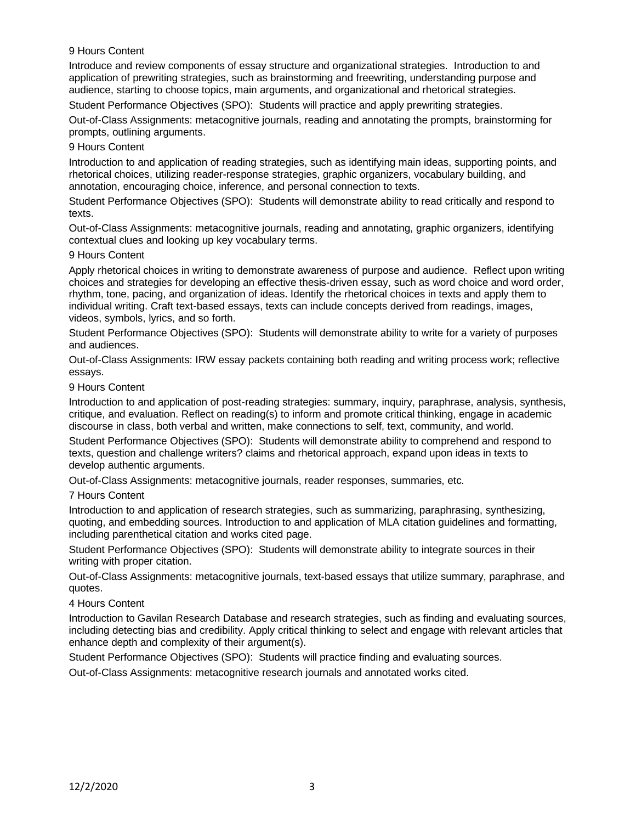## 9 Hours Content

Introduce and review components of essay structure and organizational strategies. Introduction to and application of prewriting strategies, such as brainstorming and freewriting, understanding purpose and audience, starting to choose topics, main arguments, and organizational and rhetorical strategies.

Student Performance Objectives (SPO): Students will practice and apply prewriting strategies.

Out-of-Class Assignments: metacognitive journals, reading and annotating the prompts, brainstorming for prompts, outlining arguments.

### 9 Hours Content

Introduction to and application of reading strategies, such as identifying main ideas, supporting points, and rhetorical choices, utilizing reader-response strategies, graphic organizers, vocabulary building, and annotation, encouraging choice, inference, and personal connection to texts.

Student Performance Objectives (SPO): Students will demonstrate ability to read critically and respond to texts.

Out-of-Class Assignments: metacognitive journals, reading and annotating, graphic organizers, identifying contextual clues and looking up key vocabulary terms.

### 9 Hours Content

Apply rhetorical choices in writing to demonstrate awareness of purpose and audience. Reflect upon writing choices and strategies for developing an effective thesis-driven essay, such as word choice and word order, rhythm, tone, pacing, and organization of ideas. Identify the rhetorical choices in texts and apply them to individual writing. Craft text-based essays, texts can include concepts derived from readings, images, videos, symbols, lyrics, and so forth.

Student Performance Objectives (SPO): Students will demonstrate ability to write for a variety of purposes and audiences.

Out-of-Class Assignments: IRW essay packets containing both reading and writing process work; reflective essays.

### 9 Hours Content

Introduction to and application of post-reading strategies: summary, inquiry, paraphrase, analysis, synthesis, critique, and evaluation. Reflect on reading(s) to inform and promote critical thinking, engage in academic discourse in class, both verbal and written, make connections to self, text, community, and world.

Student Performance Objectives (SPO): Students will demonstrate ability to comprehend and respond to texts, question and challenge writers? claims and rhetorical approach, expand upon ideas in texts to develop authentic arguments.

Out-of-Class Assignments: metacognitive journals, reader responses, summaries, etc.

#### 7 Hours Content

Introduction to and application of research strategies, such as summarizing, paraphrasing, synthesizing, quoting, and embedding sources. Introduction to and application of MLA citation guidelines and formatting, including parenthetical citation and works cited page.

Student Performance Objectives (SPO): Students will demonstrate ability to integrate sources in their writing with proper citation.

Out-of-Class Assignments: metacognitive journals, text-based essays that utilize summary, paraphrase, and quotes.

#### 4 Hours Content

Introduction to Gavilan Research Database and research strategies, such as finding and evaluating sources, including detecting bias and credibility. Apply critical thinking to select and engage with relevant articles that enhance depth and complexity of their argument(s).

Student Performance Objectives (SPO): Students will practice finding and evaluating sources.

Out-of-Class Assignments: metacognitive research journals and annotated works cited.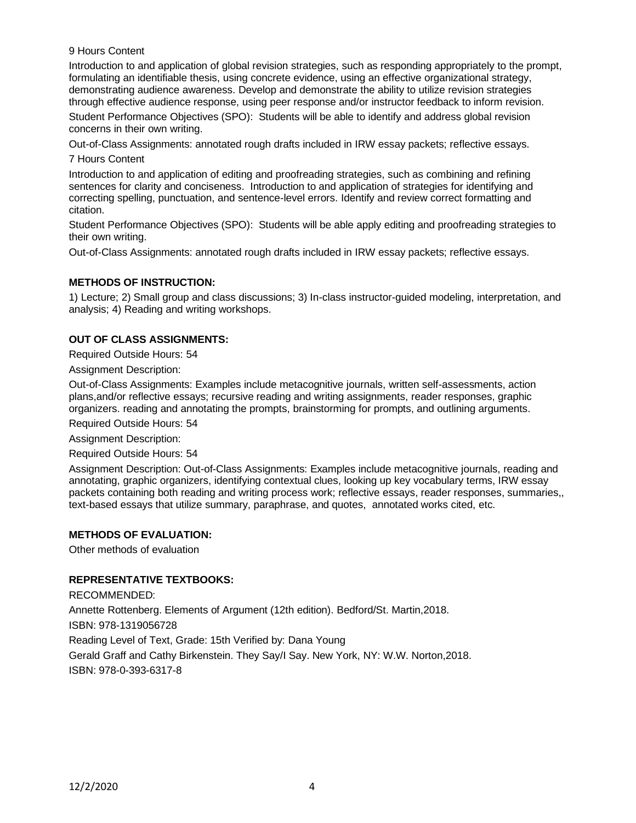9 Hours Content

Introduction to and application of global revision strategies, such as responding appropriately to the prompt, formulating an identifiable thesis, using concrete evidence, using an effective organizational strategy, demonstrating audience awareness. Develop and demonstrate the ability to utilize revision strategies through effective audience response, using peer response and/or instructor feedback to inform revision.

Student Performance Objectives (SPO): Students will be able to identify and address global revision concerns in their own writing.

Out-of-Class Assignments: annotated rough drafts included in IRW essay packets; reflective essays.

7 Hours Content

Introduction to and application of editing and proofreading strategies, such as combining and refining sentences for clarity and conciseness. Introduction to and application of strategies for identifying and correcting spelling, punctuation, and sentence-level errors. Identify and review correct formatting and citation.

Student Performance Objectives (SPO): Students will be able apply editing and proofreading strategies to their own writing.

Out-of-Class Assignments: annotated rough drafts included in IRW essay packets; reflective essays.

# **METHODS OF INSTRUCTION:**

1) Lecture; 2) Small group and class discussions; 3) In-class instructor-guided modeling, interpretation, and analysis; 4) Reading and writing workshops.

# **OUT OF CLASS ASSIGNMENTS:**

Required Outside Hours: 54

Assignment Description:

Out-of-Class Assignments: Examples include metacognitive journals, written self-assessments, action plans,and/or reflective essays; recursive reading and writing assignments, reader responses, graphic organizers. reading and annotating the prompts, brainstorming for prompts, and outlining arguments.

Required Outside Hours: 54

Assignment Description:

Required Outside Hours: 54

Assignment Description: Out-of-Class Assignments: Examples include metacognitive journals, reading and annotating, graphic organizers, identifying contextual clues, looking up key vocabulary terms, IRW essay packets containing both reading and writing process work; reflective essays, reader responses, summaries,, text-based essays that utilize summary, paraphrase, and quotes, annotated works cited, etc.

## **METHODS OF EVALUATION:**

Other methods of evaluation

## **REPRESENTATIVE TEXTBOOKS:**

RECOMMENDED: Annette Rottenberg. Elements of Argument (12th edition). Bedford/St. Martin,2018. ISBN: 978-1319056728 Reading Level of Text, Grade: 15th Verified by: Dana Young Gerald Graff and Cathy Birkenstein. They Say/I Say. New York, NY: W.W. Norton,2018. ISBN: 978-0-393-6317-8